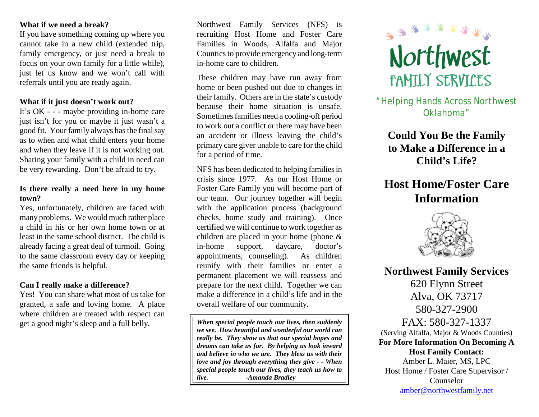### **What if we need a break?**

If you have something coming up where you cannot take in a new child (extended trip, family emergency, or just need a break to focus on your own family for a little while), just let us know and we won't call with referrals until you are ready again.

#### **What if it just doesn't work out?**

It's OK - - - maybe providing in-home care just isn't for you or maybe it just wasn't a good fit. Your family always hasthe final say as to when and what child enters your home and when they leave if it is not working out. Sharing your family with a child in need can be very rewarding. Don't be afraid to try.

#### **Is there really a need here in my home town?**

Yes, unfortunately, children are faced with many problems. We would much rather place a child in his or her own home town or at least in the same school district. The child is already facing a great deal of turmoil. Going to the same classroom every day or keeping the same friends is helpful.

## **Can I really make a difference?**

Yes! You can share what most of us take for granted, a safe and loving home. A place where children are treated with respect can get a good night's sleep and a full belly.

Northwest Family Services (NFS) is recruiting Host Home and Foster Care Families in Woods, Alfalfa and Major Counties to provide emergency and long-term in-home care to children.

These children may have run away from home or been pushed out due to changes in their family. Others are in the state's custody because their home situation is unsafe. Sometimes families need a cooling-off period to work out a conflict or there may have been an accident or illness leaving the child's primary care giver unable to care for the child for a period of time.

NFS has been dedicated to helping familiesin crisis since 1977. As our Host Home or Foster Care Family you will become part of our team. Our journey together will begin with the application process (background checks, home study and training). Once certified we will continue to work together as children are placed in your home (phone & in-home support, daycare, doctor's appointments, counseling). As children reunify with their families or enter a permanent placement we will reassess and prepare for the next child. Together we can make a difference in a child's life and in the overall welfare of our community.

*When special people touch our lives, then suddenly we see. How beautiful and wonderful our world can really be. They show us that our special hopes and dreams can take us far. By helping us look inward and believe in who we are. They bless us with their love and joy through everything they give - - When special people touch our lives, they teach us how to live. -Amanda Bradley*



# "Helping Hands Across Northwest Oklahoma"

**Could You Be the Family to Make a Difference in a Child's Life?**

# **Host Home/Foster Care Information**



**Northwest Family Services** 620 Flynn Street Alva, OK 73717 580-327-2900 FAX: 580-327-1337 (Serving Alfalfa, Major & Woods Counties) **For More Information On Becoming A Host Family Contact:** Amber L. Maier, MS, LPC Host Home / Foster Care Supervisor / Counselor [amber@northwestfamily.net](mailto:amber@northwestfamily.net)